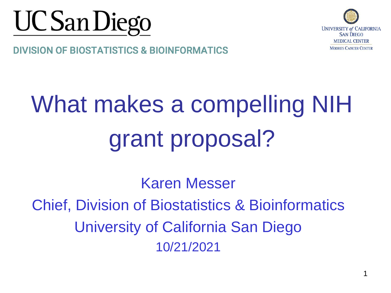



#### **DIVISION OF BIOSTATISTICS & BIOINFORMATICS**

# What makes a compelling NIH grant proposal?

Karen Messer Chief, Division of Biostatistics & Bioinformatics University of California San Diego 10/21/2021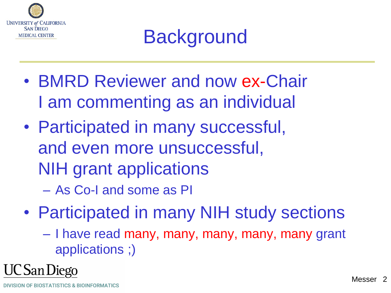

# **Background**

- BMRD Reviewer and now ex-Chair I am commenting as an individual
- Participated in many successful, and even more unsuccessful, NIH grant applications – As Co-I and some as PI
- Participated in many NIH study sections
	- I have read many, many, many, many, many grant applications ;)

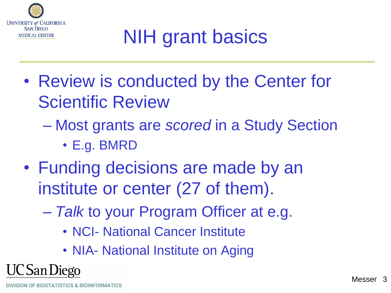

# NIH grant basics

- Review is conducted by the Center for Scientific Review
	- Most grants are *scored* in a Study Section
		- E.g. BMRD
- Funding decisions are made by an institute or center (27 of them).
	- *Talk* to your Program Officer at e.g.
		- NCI- National Cancer Institute
		- NIA- National Institute on Aging

**DIVISION OF BIOSTATISTICS & BIOINFORMATICS** 

C San Diego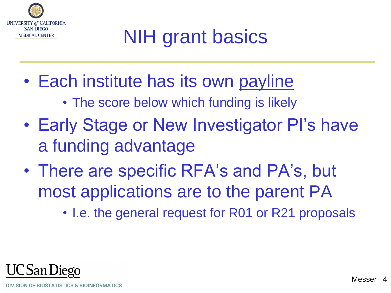

# NIH grant basics

- Each institute has its own payline
	- The score below which funding is likely
- Early Stage or New Investigator PI's have a funding advantage
- There are specific RFA's and PA's, but most applications are to the parent PA
	- I.e. the general request for R01 or R21 proposals

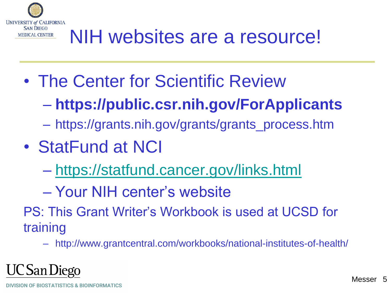

# NIH websites are a resource!

- The Center for Scientific Review
	- **https://public.csr.nih.gov/ForApplicants**
	- https://grants.nih.gov/grants/grants\_process.htm
- StatFund at NCI
	- <https://statfund.cancer.gov/links.html>
	- Your NIH center's website
- PS: This Grant Writer's Workbook is used at UCSD for training
	- http://www.grantcentral.com/workbooks/national-institutes-of-health/

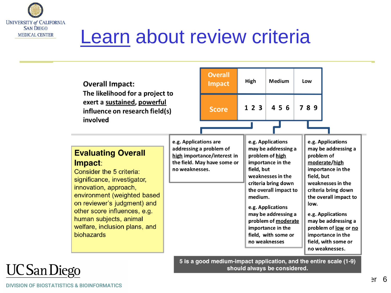

# Learn about review criteria

| <b>Overall Impact:</b><br>The likelihood for a project to<br>exert a sustained, powerful<br>influence on research field(s)<br>involved                                                                                                                                                          |                                         | <b>Overall</b><br><b>Impact</b>                                                       | High                  | Medium                                                                                                                                                                                                                                                                                | Low  |                                                                                                                                                                                                                                                                                                                   |  |
|-------------------------------------------------------------------------------------------------------------------------------------------------------------------------------------------------------------------------------------------------------------------------------------------------|-----------------------------------------|---------------------------------------------------------------------------------------|-----------------------|---------------------------------------------------------------------------------------------------------------------------------------------------------------------------------------------------------------------------------------------------------------------------------------|------|-------------------------------------------------------------------------------------------------------------------------------------------------------------------------------------------------------------------------------------------------------------------------------------------------------------------|--|
|                                                                                                                                                                                                                                                                                                 |                                         | <b>Score</b>                                                                          | 123                   | 456                                                                                                                                                                                                                                                                                   | 789  |                                                                                                                                                                                                                                                                                                                   |  |
| <b>Evaluating Overall</b><br>Impact:<br>Consider the 5 criteria:<br>significance, investigator,<br>innovation, approach,<br>environment (weighted based<br>on reviewer's judgment) and<br>other score influences, e.g.<br>human subjects, animal<br>welfare, inclusion plans, and<br>biohazards | e.g. Applications are<br>no weaknesses. | addressing a problem of<br>high importance/interest in<br>the field. May have some or | field, but<br>medium. | e.g. Applications<br>may be addressing a<br>problem of high<br>importance in the<br>weaknesses in the<br>criteria bring down<br>the overall impact to<br>e.g. Applications<br>may be addressing a<br>problem of moderate<br>importance in the<br>field, with some or<br>no weaknesses | low. | e.g. Applications<br>may be addressing a<br>problem of<br>moderate/high<br>importance in the<br>field, but<br>weaknesses in the<br>criteria bring down<br>the overall impact to<br>e.g. Applications<br>may be addressing a<br>problem of low or no<br>importance in the<br>field, with some or<br>no weaknesses. |  |
| 5 is a good medium-impact application, and the entire scale (1-9)                                                                                                                                                                                                                               |                                         |                                                                                       |                       |                                                                                                                                                                                                                                                                                       |      |                                                                                                                                                                                                                                                                                                                   |  |

should always be considered.

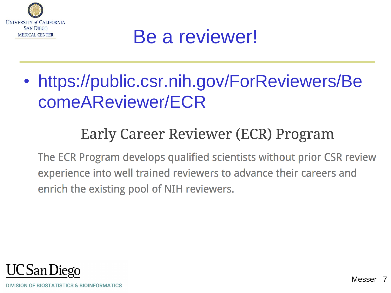

### Be a reviewer!

• https://public.csr.nih.gov/ForReviewers/Be comeAReviewer/ECR

#### Early Career Reviewer (ECR) Program

The ECR Program develops qualified scientists without prior CSR review experience into well trained reviewers to advance their careers and enrich the existing pool of NIH reviewers.

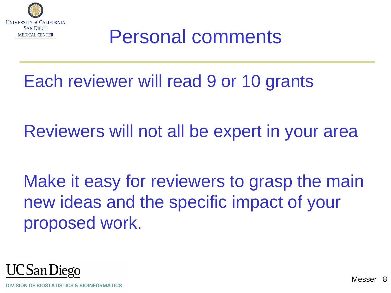

### Personal comments

Each reviewer will read 9 or 10 grants

Reviewers will not all be expert in your area

Make it easy for reviewers to grasp the main new ideas and the specific impact of your proposed work.

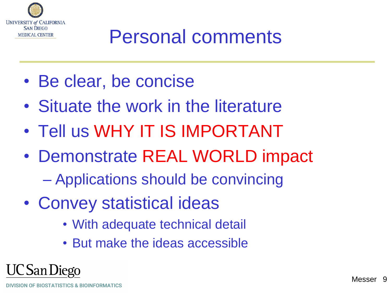

# Personal comments

- Be clear, be concise
- Situate the work in the literature
- Tell us WHY IT IS IMPORTANT
- Demonstrate REAL WORLD impact
	- Applications should be convincing
- Convey statistical ideas
	- With adequate technical detail
	- But make the ideas accessible

UC San Diego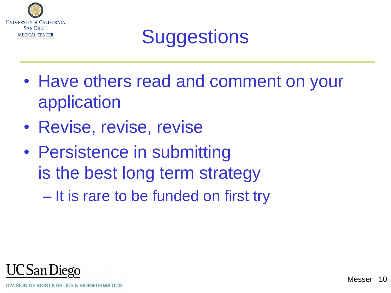

# **Suggestions**

- Have others read and comment on your application
- Revise, revise, revise
- Persistence in submitting is the best long term strategy
	- It is rare to be funded on first try